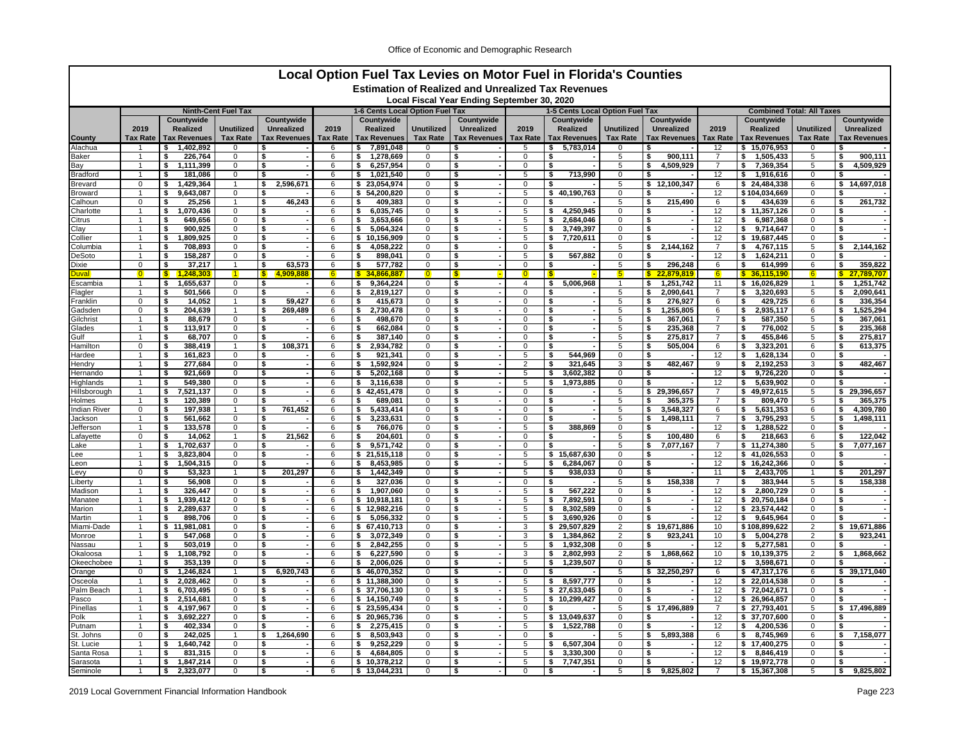| Local Option Fuel Tax Levies on Motor Fuel in Florida's Counties<br><b>Estimation of Realized and Unrealized Tax Revenues</b> |                             |                                    |                                |                         |                 |                                               |                               |                                             |                               |                                               |                            |                                  |                      |                                    |                                  |                                  |
|-------------------------------------------------------------------------------------------------------------------------------|-----------------------------|------------------------------------|--------------------------------|-------------------------|-----------------|-----------------------------------------------|-------------------------------|---------------------------------------------|-------------------------------|-----------------------------------------------|----------------------------|----------------------------------|----------------------|------------------------------------|----------------------------------|----------------------------------|
|                                                                                                                               |                             |                                    |                                |                         |                 |                                               |                               |                                             |                               |                                               |                            |                                  |                      |                                    |                                  |                                  |
|                                                                                                                               |                             |                                    |                                |                         |                 |                                               |                               | Local Fiscal Year Ending September 30, 2020 |                               |                                               |                            |                                  |                      |                                    |                                  |                                  |
|                                                                                                                               |                             | Countvwide                         | <b>Ninth-Cent Fuel Tax</b>     | Countywide              |                 | 1-6 Cents Local Option Fuel Tax<br>Countywide |                               | Countywide                                  |                               | 1-5 Cents Local Option Fuel Tax<br>Countvwide |                            | Countywide                       |                      | Countvwide                         | <b>Combined Total: All Taxes</b> | Countywide                       |
|                                                                                                                               | 2019                        | Realized                           | <b>Unutilized</b>              | <b>Unrealized</b>       | 2019            | Realized                                      | <b>Unutilized</b>             | <b>Unrealized</b>                           | 2019                          | Realized                                      | <b>Unutilized</b>          | <b>Unrealized</b>                | 2019                 | Realized                           | <b>Unutilized</b>                | <b>Unrealized</b>                |
| County                                                                                                                        | <b>Tax Rate</b>             | <b>Tax Revenues</b>                | <b>Tax Rate</b>                | <b>Tax Revenues</b>     | <b>Tax Rate</b> | <b>Tax Revenues</b>                           | <b>Tax Rate</b>               | <b>Tax Revenues</b>                         | <b>Tax Rate</b>               | <b>Tax Revenues</b>                           | <b>Tax Rate</b>            | <b>Tax Revenues</b>              | <b>Tax Rate</b>      | <b>Tax Revenues</b>                | <b>Tax Rate</b>                  | <b>Tax Revenues</b>              |
| Alachua                                                                                                                       |                             | 1,402,892<br>\$                    |                                |                         | 6               | 7,891,048<br>\$                               | 0                             |                                             | 5                             | 5,783,014                                     | 0                          |                                  | 12                   | 15,076,953<br>s.                   | 0                                |                                  |
| 3aker                                                                                                                         | $\mathbf{1}$                | \$<br>226,764                      | 0                              | \$                      | 6               | 1.278.669<br>\$                               | $\mathbf 0$                   | \$                                          | $\mathbf 0$                   | \$                                            | 5                          | 900.111<br>Ŝ.                    |                      | 1.505.433<br>\$                    | 5                                | 900.111                          |
| Зау                                                                                                                           | $\mathbf{1}$                | \$<br>1,111,399                    | $\mathbf 0$                    | \$                      | 6               | 6,257,954<br>\$                               | 0                             | \$                                          | $\mathbf 0$                   | \$                                            | 5                          | 4,509,929<br>\$                  | 7                    | 7,369,354<br>\$                    | 5                                | 4,509,929<br>s.                  |
| Bradford                                                                                                                      | $\mathbf{1}$<br>$\Omega$    | 181,086<br>-\$                     | 0                              | \$<br>\$                | 6               | \$<br>1,021,540                               | $\mathbf 0$<br>$\Omega$       | \$                                          | 5<br>$\Omega$                 | 713,990<br>\$<br>\$                           | $\mathbf 0$                | S.<br>12.100.347                 | 12                   | 1,916,616<br>s.                    | $\mathbf 0$                      | ŝ.<br>\$                         |
| Brevard<br>Broward                                                                                                            |                             | \$<br>1,429,364<br>\$<br>9,643,087 | $\mathbf{1}$<br>0              | 2,596,671<br>\$         | 6<br>6          | \$23,054,974<br>54,200,820<br>\$              | $\Omega$                      | \$<br>\$                                    | 5                             | 40.190.763<br>\$                              | 5<br>$\mathbf 0$           | \$<br>S.                         | 6<br>12              | \$24,484,338<br>\$104,034,669      | 6<br>$\Omega$                    | 14,697,018<br>ŝ.                 |
| <b>Calhoun</b>                                                                                                                | $\Omega$                    | \$<br>25,256                       |                                | 46.243<br>\$            | 6               | 409.383<br>\$                                 | $\Omega$                      | \$                                          | 0                             |                                               | 5                          | \$<br>215.490                    | 6                    | 434.639<br>\$                      | 6                                | 261,732<br>\$                    |
| Charlotte                                                                                                                     | $\mathbf{1}$                | 1,070,436<br>\$                    | $\mathbf 0$                    | \$                      | 6               | 6,035,745<br>\$                               | 0                             | \$                                          | 5                             | 4,250,945<br>\$                               | 0                          | \$                               | 12                   | \$11,357,126                       | $\mathbf 0$                      | \$                               |
| Citrus                                                                                                                        | $\overline{1}$              | 649,656<br>\$                      | 0                              | \$                      | 6               | 3,653,666<br>s.                               | 0                             | \$                                          | 5                             | 2,684,046<br>\$                               | $\mathbf 0$                | Ŝ.                               | 12                   | s.<br>6,987,368                    | $\mathbf 0$                      | \$                               |
| Clay                                                                                                                          | $\mathbf{1}$                | s<br>900,925                       | 0                              | \$                      | 6               | \$<br>5,064,324                               | $\mathsf 0$                   | \$                                          | 5                             | \$<br>3,749,397                               | $\mathsf{O}\xspace$        | \$                               | 12                   | \$<br>9,714,647                    | $\overline{0}$                   | \$                               |
| Collier                                                                                                                       |                             | \$<br>1,809,925                    | 0                              | \$<br>\$                | 6               | \$10,156,909                                  | $\mathbf 0$                   | \$                                          | 5<br>$\Omega$                 | 7,720,611<br>\$<br>\$                         | $\mathbf 0$                | \$                               | 12<br>$\overline{7}$ | \$19,687,445                       | $\mathbf 0$                      | \$                               |
| Columbia<br>DeSoto                                                                                                            | $\mathbf{1}$<br>-1          | \$<br>708,893<br>\$<br>158,287     | 0<br>$\mathbf 0$               | \$                      | 6<br>6          | \$<br>4,058,222<br>898,041<br>\$              | $\mathbf 0$<br>0              | \$<br>\$                                    | 5                             | 567,882<br>\$                                 | 5<br>0                     | 2,144,162<br>\$<br>\$            | 12                   | s.<br>4.767.115<br>1,624,211<br>\$ | 5<br>0                           | 2,144,162<br>\$<br>\$            |
| Dixie                                                                                                                         | $\Omega$                    | \$<br>37,217                       | 1                              | 63,573<br>\$            | 6               | \$<br>577,782                                 | $\Omega$                      | \$                                          | $\mathbf 0$                   | \$                                            | 5                          | 296,248<br>\$                    | 6                    | 614,999<br>-\$                     | 6                                | \$<br>359,822                    |
| )uval                                                                                                                         |                             | 1,248,303<br><b>S</b>              |                                | 4,909,888<br><b>S</b>   | 6.              | $\mathbf{s}$<br>34.866.887                    | $\Omega$                      | <b>S</b>                                    | $\Omega$                      |                                               | $5\overline{)}$            | 22,879,819<br>S                  | $6 \overline{6}$     | \$36,115,190                       | 6                                | 27.789.707<br>S.                 |
| :scambia                                                                                                                      |                             | 1,655,637<br>\$                    | 0                              | \$                      | 6               | 9,364,224<br>\$                               | $\mathbf 0$                   | \$                                          | 4                             | 5,006,968<br>\$                               |                            | 1,251,742<br>\$                  | 11                   | \$16,026,829                       |                                  | 1,251,742<br>\$                  |
| Flagler                                                                                                                       | $\overline{1}$              | \$<br>501,566                      | 0                              | \$                      | 6               | 2,819,127<br>\$                               | $\mathbf 0$                   | \$                                          | $\Omega$                      | \$                                            | 5                          | 2.090.641<br>\$                  | $\overline{7}$       | s.<br>3,320,693                    | 5                                | 2,090,641<br>\$                  |
| Franklin                                                                                                                      | 0                           | 14,052<br>\$                       | $\mathbf{1}$                   | 59,427<br>\$            | 6               | 415,673<br>\$                                 | 0                             | \$                                          | $\mathbf 0$                   | \$                                            | 5                          | \$<br>276,927                    | 6                    | 429,725<br>\$                      | 6                                | 336,354<br>\$                    |
| Gadsden<br>Gilchrist                                                                                                          | $\mathbf 0$                 | 204,639<br>\$<br>s<br>88,679       | $\mathbf{1}$<br>$\overline{0}$ | 269.489<br>\$<br>s      | 6<br>6          | 2,730,478<br>s.<br>498,670<br>-\$             | $\mathbf 0$<br>$\overline{0}$ | \$<br>s                                     | $\mathbf 0$<br>$\overline{0}$ | \$<br>Ś                                       | 5<br>5                     | 1,255,805<br>\$<br>367,061<br>\$ | 6<br>$\overline{7}$  | 2,935,117<br>s.<br>587,350<br>s.   | 6<br>5                           | 1,525,294<br>\$<br>S.<br>367,061 |
| Glades                                                                                                                        |                             | 113,917<br>\$                      | 0                              | \$                      | 6               | \$<br>662,084                                 | $\mathbf 0$                   | \$                                          | $\Omega$                      | \$                                            | 5                          | 235,368<br>S.                    | 7                    | \$<br>776,002                      | 5                                | \$<br>235,368                    |
| 3ulf                                                                                                                          | 1                           | \$<br>68,707                       | 0                              | \$                      | 6               | \$<br>387,140                                 | $\mathbf 0$                   | \$                                          | $\Omega$                      | \$                                            | 5                          | \$<br>275,817                    | $\overline{7}$       | s.<br>455,846                      | 5                                | 275,817<br>\$                    |
| Hamilton                                                                                                                      | 0                           | \$<br>388,419                      | $\mathbf{1}$                   | 108,371<br>\$           | 6               | 2,934,782<br>\$                               | 0                             | \$                                          | 0                             | \$                                            | 5                          | 505,004<br>\$                    | 6                    | 3,323,201<br>\$                    | 6                                | 613,375<br>\$                    |
| Hardee                                                                                                                        | $\mathbf{1}$                | 161,823<br>\$                      | 0                              | \$                      | 6               | 921,341<br>s.                                 | $\mathbf 0$                   | \$                                          | 5                             | 544.969<br>\$                                 | $\mathbf 0$                | \$                               | 12                   | 1,628,134<br>s.                    | $\mathbf 0$                      | \$                               |
| Hendry                                                                                                                        |                             | 277,684<br>\$                      | 0                              | $\overline{\mathbf{s}}$ | 6               | 1,592,924<br>ŝ.                               | $\mathbf 0$                   | \$                                          | $\overline{2}$                | 321,645<br>\$                                 | 3                          | 482,467<br>\$                    | 9                    | 2,192,253<br>\$                    | 3                                | 482,467<br>\$                    |
| Hernando<br>Highlands                                                                                                         | $\mathbf{1}$                | 921.669<br>\$<br>\$<br>549.380     | 0<br>0                         | \$<br>\$                | 6<br>6          | \$<br>5,202,168<br>\$<br>3,116,638            | $\mathbf 0$<br>$\mathbf 0$    | \$<br>\$                                    | 5<br>5                        | 3,602,382<br>\$<br>\$<br>1,973,885            | 0<br>$\mathbf 0$           | \$<br>\$                         | 12<br>12             | \$<br>9,726,220<br>ŝ.<br>5.639.902 | $\Omega$<br>$\mathbf 0$          | -\$<br>\$                        |
| Hillsborough                                                                                                                  | $\mathbf{1}$                | 7,521,137<br>-\$                   | 0                              | \$                      | 6               | \$42,451,478                                  | 0                             | \$                                          | 0                             | \$                                            | 5                          | \$<br>29,396,657                 | 7                    | \$49,972,615                       | 5                                | \$29,396,657                     |
| Holmes                                                                                                                        | $\overline{1}$              | 120,389<br>\$                      | 0                              | \$                      | 6               | 689.081<br>\$.                                | $\mathbf 0$                   | \$                                          | $\mathbf 0$                   | \$                                            | 5                          | 365,375<br>\$                    | $\overline{7}$       | \$<br>809.470                      | 5                                | 365,375<br>\$.                   |
| Indian River                                                                                                                  | $\mathbf 0$                 | 197,938<br>\$                      | $\mathbf{1}$                   | Ŝ<br>761.452            | 6               | 5,433,414<br>\$                               | $\overline{0}$                | \$                                          | $\overline{0}$                | \$                                            | $\overline{5}$             | 3,548,327<br>\$                  | 6                    | 5,631,353<br>\$                    | 6                                | 4,309,780<br>\$                  |
| lackson                                                                                                                       | $\mathbf{1}$                | \$<br>561.662                      | 0                              | \$                      | 6               | s.<br>3,233,631                               | $\mathbf 0$                   | \$                                          | $\Omega$                      | \$                                            | 5                          | \$<br>1.498.111                  | $\overline{7}$       | s.<br>3.795.293                    | 5                                | \$<br>1.498.111                  |
| lefferson                                                                                                                     | $\mathbf{1}$                | \$<br>133,578                      | 0                              | \$                      | 6               | 766.076<br>\$                                 | $\mathbf 0$                   | \$                                          | 5                             | 388,869<br>\$                                 | 0                          | \$                               | 12                   | s.<br>1,288,522                    | $\mathbf 0$                      | -S                               |
| .afayette<br>.ake                                                                                                             | 0                           | 14,062<br>-\$<br>1,702,637<br>\$   | 1<br>0                         | 21,562<br>\$<br>\$      | 6<br>6          | 204,601<br>\$<br>9,571,742<br>\$              | 0<br>$\Omega$                 | \$<br>\$                                    | 0<br>$\mathbf 0$              | \$<br>\$                                      | 5<br>5                     | \$<br>100,480<br>\$<br>7,077,167 | 6<br>$\overline{7}$  | 218,663<br>\$<br>\$11,274,380      | 6<br>5                           | 122,042<br>\$<br>\$<br>7,077,167 |
| .ee                                                                                                                           |                             | \$<br>3,823,804                    | 0                              | \$                      | 6               | s.<br>21,515,118                              | $\mathbf 0$                   | \$                                          | 5                             | \$15,687,630                                  | $\mathbf 0$                | \$                               | 12                   | \$41,026,553                       | $\mathbf 0$                      | - \$                             |
| .eon                                                                                                                          |                             | \$<br>1.504.315                    | 0                              | \$                      | 6               | 8.453.985<br>s.                               | $\Omega$                      | \$                                          | 5                             | 6.284.067<br>\$                               | $\mathbf 0$                | \$                               | 12                   | \$16.242.366                       | $\mathbf 0$                      | \$                               |
| evy.                                                                                                                          | 0                           | \$<br>53,323                       | 1                              | 201,297<br>\$           | 6               | 1,442,349<br>\$                               | 0                             | \$                                          | $\sqrt{5}$                    | 938,033<br>\$                                 | $\mathsf{O}\xspace$        | \$                               | 11                   | \$<br>2,433,705                    |                                  | 201,297<br>\$                    |
| .iberty                                                                                                                       | $\mathbf{1}$                | - \$<br>56,908                     | 0                              | \$                      | 6               | Ŝ.<br>327,036                                 | 0                             | \$                                          | $\mathbf 0$                   | \$                                            | 5                          | 158,338<br>\$                    | $\overline{7}$       | 383,944<br>ŝ                       | 5                                | 158,338<br>\$                    |
| Aadison                                                                                                                       |                             | 326,447<br>\$                      | 0                              | \$                      | 6               | s.<br>1,907,060                               | $\mathbf 0$                   | \$                                          | 5                             | 567,222<br>\$                                 | $\mathbf 0$                | \$                               | 12                   | s.<br>2,800,729                    | $\mathbf 0$                      | \$                               |
| Manatee<br>Aarion                                                                                                             |                             | \$<br>1,939,412<br>\$<br>2.289.637 | 0<br>0                         | \$<br>\$                | 6<br>6          | \$10,918,181<br>\$12.982.216                  | 0<br>$\Omega$                 | \$<br>£.                                    | $\overline{5}$<br>5           | \$<br>7,892,591<br>\$<br>8.302.589            | $\mathbf 0$<br>$\mathbf 0$ | \$<br>\$                         | 12<br>12             | \$ 20,750,184<br>\$23.574.442      | $\mathbf 0$<br>$\mathbf 0$       | \$<br>Ŝ.                         |
| Aartin                                                                                                                        | $\mathbf{1}$                | \$<br>898,706                      | 0                              | \$                      | 6               | \$<br>5,056,332                               | 0                             | \$                                          | 5                             | \$<br>3,690,926                               | $\mathsf{O}\xspace$        | \$                               | 12                   | \$<br>9,645,964                    | $\mathbf 0$                      | -S                               |
| <i>l</i> liami-Dade                                                                                                           | $\mathbf{1}$                | \$<br>11,981,081                   | 0                              | \$                      | 6               | \$67,410,713                                  | 0                             | \$                                          | 3                             | 29,507,829<br>s.                              | $\overline{2}$             | 19,671,886<br>\$                 | 10                   | \$108,899,622                      | $\overline{2}$                   | \$<br>19,671,886                 |
| Aonroe                                                                                                                        |                             | Ŝ<br>547,068                       | 0                              | \$                      | 6               | 3,072,349<br>\$                               | $\Omega$                      | \$                                          | 3                             | 1,384,862<br>\$                               | $\overline{2}$             | 923,241<br>\$                    | 10                   | \$<br>5,004,278                    | $\overline{2}$                   | 923.241<br>ŝ.                    |
| Vassau                                                                                                                        |                             | 503,019<br>\$                      | 0                              | \$                      | 6               | 2,842,255<br>\$                               | 0                             | \$                                          | 5                             | 1,932,308<br>S                                | $\mathbf 0$                | S.                               | 12                   | 5,277,581<br>s.                    | 0                                | ŝ.                               |
| )kaloosa                                                                                                                      | $\overline{1}$              | \$<br>1.108.792                    | 0                              | \$                      | 6               | \$<br>6,227,590                               | $\Omega$                      | \$                                          | 3                             | 2.802.993<br>\$                               | $\overline{2}$             | \$<br>1.868.662                  | 10                   | \$10.139.375                       | $\overline{2}$                   | 1,868,662<br>\$                  |
| Okeechobee<br>Orange                                                                                                          | $\mathbf{1}$<br>$\mathbf 0$ | \$<br>353,139<br>1,246,824<br>-\$  | $\mathbf 0$<br>$\mathbf{1}$    | \$<br>6,920,743<br>\$   | 6<br>6          | 2,006,026<br>\$<br>\$46,070,352               | $\mathbf 0$<br>$\mathbf 0$    | \$<br>\$                                    | 5<br>$\mathbf 0$              | 1,239,507<br>\$                               | $\overline{0}$<br>5        | \$<br>32,250,297<br>\$           | 12<br>6              | 3,598,671<br>\$<br>\$47,317,176    | $\mathbf 0$<br>6                 | -S<br>\$ 39,171,040              |
| Osceola                                                                                                                       |                             | \$<br>2,028,462                    | 0                              | \$                      | 6               | \$11,388,300                                  | $\mathsf 0$                   | \$                                          | 5                             | \$<br>8,597,777                               | $\mathsf 0$                | \$                               | 12                   | \$22,014,538                       | $\mathsf 0$                      | £.                               |
| Palm Beach                                                                                                                    |                             | 6,703,495<br>\$                    | 0                              | \$                      | 6               | \$ 37,706,130                                 | $\mathbf 0$                   | \$                                          | 5                             | 27,633,045<br>\$                              | $\mathbf 0$                | \$                               | 12                   | \$72,042,671                       | $\mathbf 0$                      | £.                               |
| Pasco                                                                                                                         | $\mathbf{1}$                | \$<br>2.514.681                    | 0                              | \$                      | 6               | \$14.150.749                                  | $\mathbf 0$                   | \$                                          | 5                             | 10.299.427<br>\$                              | $\mathbf 0$                | \$                               | 12                   | \$26,964,857                       | $\Omega$                         |                                  |
| <sup>2</sup> inellas                                                                                                          |                             | \$<br>4,197,967                    | 0                              | \$                      | 6               | \$23,595,434                                  | 0                             | \$                                          | 0                             | s.                                            | 5                          | 17,496,889<br>\$                 | $\overline{7}$       | \$27,793,401                       | 5                                | \$17,496,889                     |
| <sup>o</sup> olk                                                                                                              | $\mathbf{1}$                | 3,692,227<br>Ŝ.                    | 0                              | \$                      | 6               | \$20,965,736                                  | $\mathbf 0$                   | \$                                          | 5                             | \$13,049,637                                  | $\mathbf 0$                | \$                               | 12                   | \$ 37,707,600                      | $\Omega$                         | Ŝ.                               |
| <sup>o</sup> utnam                                                                                                            | $\mathbf 0$                 | Ŝ<br>402,334<br>242,025<br>\$      | $\mathbf 0$                    | \$<br>\$<br>1,264,690   | 6<br>6          | 2,275,415<br>s.<br>\$<br>8,503,943            | $\Omega$<br>$\Omega$          | \$<br>\$                                    | 5<br>$\Omega$                 | 1,522,788<br>\$                               | $\mathsf{O}\xspace$<br>5   | s<br>\$<br>5,893,388             | 12<br>6              | s.<br>4,200,536<br>s.<br>8,745,969 | $\Omega$<br>6                    | ŝ.<br>\$<br>7,158,077            |
| St. Johns<br>St. Lucie                                                                                                        |                             | \$<br>1.640.742                    | 0                              | \$                      | 6               | \$<br>9,252,229                               | $\mathbf 0$                   | \$                                          | 5                             | \$<br>6,507,304                               | $\mathbf 0$                | \$                               | 12                   | \$17.400.275                       | $\Omega$                         | Ŝ.                               |
| Santa Rosa                                                                                                                    | -1                          | 831,315<br>\$                      | $\mathbf 0$                    | \$                      | 6               | 4,684,805<br>\$                               | 0                             | \$                                          | 5                             | 3,330,300<br>\$                               | 0                          | \$                               | 12                   | 8,846,419<br>\$                    | $\mathbf 0$                      | \$                               |
| Sarasota                                                                                                                      |                             | \$<br>1,847,214                    | 0                              | \$                      | 6               | \$10,378,212                                  | 0                             | \$                                          | 5                             | 7,747,351<br>\$                               | $\mathbf 0$                | \$                               | 12                   | \$19,972,778                       | $\mathbf 0$                      | \$                               |
| Seminole                                                                                                                      |                             | \$<br>2,323,077                    | $\overline{0}$                 | s                       | 6               | \$13,044,231                                  | $\overline{0}$                | s.                                          | $\overline{0}$                | \$                                            | 5                          | \$<br>9,825,802                  | $\overline{7}$       | \$15,367,308                       | 5                                | \$<br>9,825,802                  |

2019 Local Government Financial Information Handbook Page 223